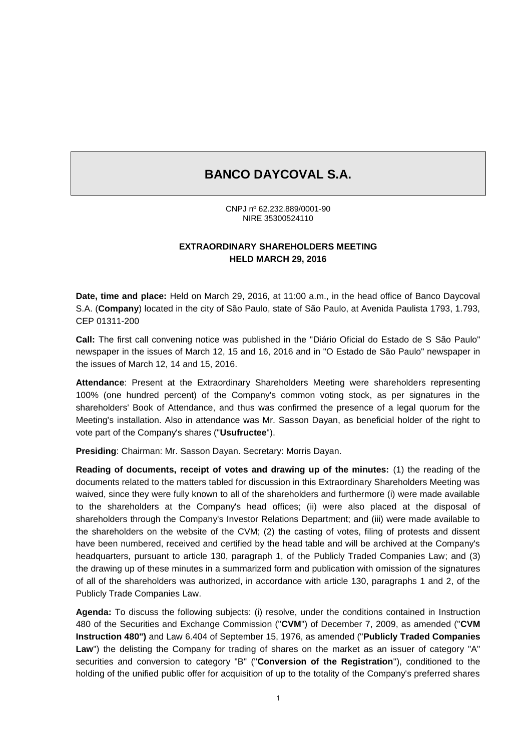# **BANCO DAYCOVAL S.A.**

CNPJ nº 62.232.889/0001-90 NIRE 35300524110

### **EXTRAORDINARY SHAREHOLDERS MEETING HELD MARCH 29, 2016**

**Date, time and place:** Held on March 29, 2016, at 11:00 a.m., in the head office of Banco Daycoval S.A. (**Company**) located in the city of São Paulo, state of São Paulo, at Avenida Paulista 1793, 1.793, CEP 01311-200

**Call:** The first call convening notice was published in the "Diário Oficial do Estado de S São Paulo" newspaper in the issues of March 12, 15 and 16, 2016 and in "O Estado de São Paulo" newspaper in the issues of March 12, 14 and 15, 2016.

**Attendance**: Present at the Extraordinary Shareholders Meeting were shareholders representing 100% (one hundred percent) of the Company's common voting stock, as per signatures in the shareholders' Book of Attendance, and thus was confirmed the presence of a legal quorum for the Meeting's installation. Also in attendance was Mr. Sasson Dayan, as beneficial holder of the right to vote part of the Company's shares ("**Usufructee**").

**Presiding**: Chairman: Mr. Sasson Dayan. Secretary: Morris Dayan.

**Reading of documents, receipt of votes and drawing up of the minutes:** (1) the reading of the documents related to the matters tabled for discussion in this Extraordinary Shareholders Meeting was waived, since they were fully known to all of the shareholders and furthermore (i) were made available to the shareholders at the Company's head offices; (ii) were also placed at the disposal of shareholders through the Company's Investor Relations Department; and (iii) were made available to the shareholders on the website of the CVM; (2) the casting of votes, filing of protests and dissent have been numbered, received and certified by the head table and will be archived at the Company's headquarters, pursuant to article 130, paragraph 1, of the Publicly Traded Companies Law; and (3) the drawing up of these minutes in a summarized form and publication with omission of the signatures of all of the shareholders was authorized, in accordance with article 130, paragraphs 1 and 2, of the Publicly Trade Companies Law.

**Agenda:** To discuss the following subjects: (i) resolve, under the conditions contained in Instruction 480 of the Securities and Exchange Commission ("**CVM**") of December 7, 2009, as amended ("**CVM Instruction 480")** and Law 6.404 of September 15, 1976, as amended ("**Publicly Traded Companies**  Law") the delisting the Company for trading of shares on the market as an issuer of category "A" securities and conversion to category "B" ("**Conversion of the Registration**"), conditioned to the holding of the unified public offer for acquisition of up to the totality of the Company's preferred shares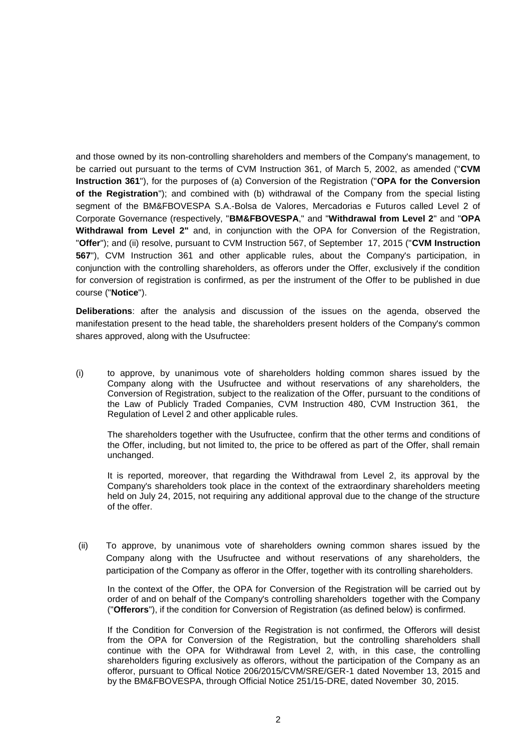and those owned by its non-controlling shareholders and members of the Company's management, to be carried out pursuant to the terms of CVM Instruction 361, of March 5, 2002, as amended ("**CVM Instruction 361**"), for the purposes of (a) Conversion of the Registration ("**OPA for the Conversion of the Registration**"); and combined with (b) withdrawal of the Company from the special listing segment of the BM&FBOVESPA S.A.-Bolsa de Valores, Mercadorias e Futuros called Level 2 of Corporate Governance (respectively, "**BM&FBOVESPA**," and "**Withdrawal from Level 2**" and "**OPA Withdrawal from Level 2"** and, in conjunction with the OPA for Conversion of the Registration, "**Offer**"); and (ii) resolve, pursuant to CVM Instruction 567, of September 17, 2015 ("**CVM Instruction 567**"), CVM Instruction 361 and other applicable rules, about the Company's participation, in conjunction with the controlling shareholders, as offerors under the Offer, exclusively if the condition for conversion of registration is confirmed, as per the instrument of the Offer to be published in due course ("**Notice**").

**Deliberations**: after the analysis and discussion of the issues on the agenda, observed the manifestation present to the head table, the shareholders present holders of the Company's common shares approved, along with the Usufructee:

(i) to approve, by unanimous vote of shareholders holding common shares issued by the Company along with the Usufructee and without reservations of any shareholders, the Conversion of Registration, subject to the realization of the Offer, pursuant to the conditions of the Law of Publicly Traded Companies, CVM Instruction 480, CVM Instruction 361, the Regulation of Level 2 and other applicable rules.

The shareholders together with the Usufructee, confirm that the other terms and conditions of the Offer, including, but not limited to, the price to be offered as part of the Offer, shall remain unchanged.

It is reported, moreover, that regarding the Withdrawal from Level 2, its approval by the Company's shareholders took place in the context of the extraordinary shareholders meeting held on July 24, 2015, not requiring any additional approval due to the change of the structure of the offer.

(ii) To approve, by unanimous vote of shareholders owning common shares issued by the Company along with the Usufructee and without reservations of any shareholders, the participation of the Company as offeror in the Offer, together with its controlling shareholders.

In the context of the Offer, the OPA for Conversion of the Registration will be carried out by order of and on behalf of the Company's controlling shareholders together with the Company ("**Offerors**"), if the condition for Conversion of Registration (as defined below) is confirmed.

If the Condition for Conversion of the Registration is not confirmed, the Offerors will desist from the OPA for Conversion of the Registration, but the controlling shareholders shall continue with the OPA for Withdrawal from Level 2, with, in this case, the controlling shareholders figuring exclusively as offerors, without the participation of the Company as an offeror, pursuant to Offical Notice 206/2015/CVM/SRE/GER-1 dated November 13, 2015 and by the BM&FBOVESPA, through Official Notice 251/15-DRE, dated November 30, 2015.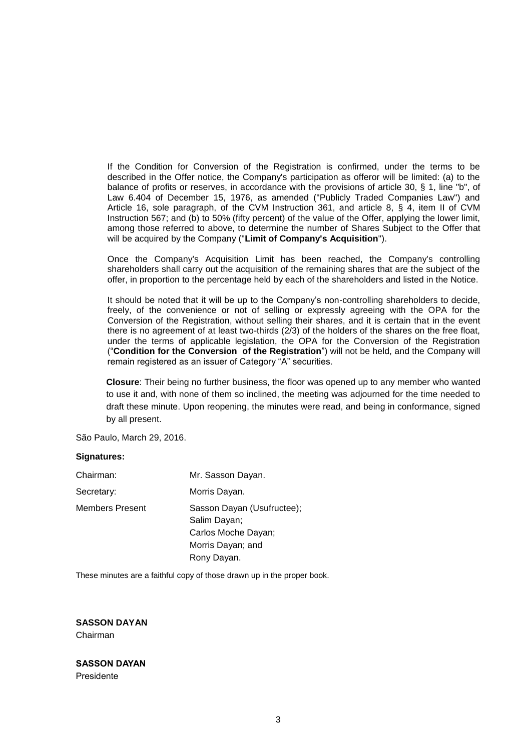If the Condition for Conversion of the Registration is confirmed, under the terms to be described in the Offer notice, the Company's participation as offeror will be limited: (a) to the balance of profits or reserves, in accordance with the provisions of article 30, § 1, line "b", of Law 6.404 of December 15, 1976, as amended ("Publicly Traded Companies Law") and Article 16, sole paragraph, of the CVM Instruction 361, and article 8, § 4, item II of CVM Instruction 567; and (b) to 50% (fifty percent) of the value of the Offer, applying the lower limit, among those referred to above, to determine the number of Shares Subject to the Offer that will be acquired by the Company ("**Limit of Company's Acquisition**").

Once the Company's Acquisition Limit has been reached, the Company's controlling shareholders shall carry out the acquisition of the remaining shares that are the subject of the offer, in proportion to the percentage held by each of the shareholders and listed in the Notice.

It should be noted that it will be up to the Company's non-controlling shareholders to decide, freely, of the convenience or not of selling or expressly agreeing with the OPA for the Conversion of the Registration, without selling their shares, and it is certain that in the event there is no agreement of at least two-thirds (2/3) of the holders of the shares on the free float, under the terms of applicable legislation, the OPA for the Conversion of the Registration ("**Condition for the Conversion of the Registration**") will not be held, and the Company will remain registered as an issuer of Category "A" securities.

**Closure**: Their being no further business, the floor was opened up to any member who wanted to use it and, with none of them so inclined, the meeting was adjourned for the time needed to draft these minute. Upon reopening, the minutes were read, and being in conformance, signed by all present.

São Paulo, March 29, 2016.

#### **Signatures:**

| Chairman:              | Mr. Sasson Dayan.                                                                      |
|------------------------|----------------------------------------------------------------------------------------|
| Secretary:             | Morris Dayan.                                                                          |
| <b>Members Present</b> | Sasson Dayan (Usufructee);<br>Salim Dayan;<br>Carlos Moche Dayan;<br>Morris Dayan; and |
|                        | Rony Dayan.                                                                            |
|                        |                                                                                        |

These minutes are a faithful copy of those drawn up in the proper book.

**SASSON DAYAN** Chairman

**SASSON DAYAN** Presidente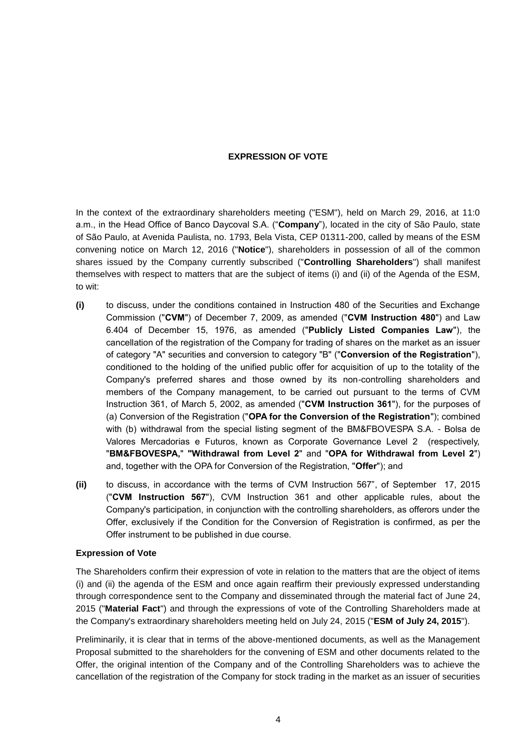#### **EXPRESSION OF VOTE**

In the context of the extraordinary shareholders meeting ("ESM"), held on March 29, 2016, at 11:0 a.m., in the Head Office of Banco Daycoval S.A. ("**Company**"), located in the city of São Paulo, state of São Paulo, at Avenida Paulista, no. 1793, Bela Vista, CEP 01311-200, called by means of the ESM convening notice on March 12, 2016 ("**Notice**"), shareholders in possession of all of the common shares issued by the Company currently subscribed ("**Controlling Shareholders**") shall manifest themselves with respect to matters that are the subject of items (i) and (ii) of the Agenda of the ESM, to wit:

- **(i)** to discuss, under the conditions contained in Instruction 480 of the Securities and Exchange Commission ("**CVM**") of December 7, 2009, as amended ("**CVM Instruction 480**") and Law 6.404 of December 15, 1976, as amended ("**Publicly Listed Companies Law**"), the cancellation of the registration of the Company for trading of shares on the market as an issuer of category "A" securities and conversion to category "B" ("**Conversion of the Registration**"), conditioned to the holding of the unified public offer for acquisition of up to the totality of the Company's preferred shares and those owned by its non-controlling shareholders and members of the Company management, to be carried out pursuant to the terms of CVM Instruction 361, of March 5, 2002, as amended ("**CVM Instruction 361**"), for the purposes of (a) Conversion of the Registration ("**OPA for the Conversion of the Registration**"); combined with (b) withdrawal from the special listing segment of the BM&FBOVESPA S.A. - Bolsa de Valores Mercadorias e Futuros, known as Corporate Governance Level 2 (respectively, "**BM&FBOVESPA,**" **"Withdrawal from Level 2**" and "**OPA for Withdrawal from Level 2**") and, together with the OPA for Conversion of the Registration, "**Offer**"); and
- **(ii)** to discuss, in accordance with the terms of CVM Instruction 567", of September 17, 2015 ("**CVM Instruction 567**"), CVM Instruction 361 and other applicable rules, about the Company's participation, in conjunction with the controlling shareholders, as offerors under the Offer, exclusively if the Condition for the Conversion of Registration is confirmed, as per the Offer instrument to be published in due course.

#### **Expression of Vote**

The Shareholders confirm their expression of vote in relation to the matters that are the object of items (i) and (ii) the agenda of the ESM and once again reaffirm their previously expressed understanding through correspondence sent to the Company and disseminated through the material fact of June 24, 2015 ("**Material Fact**") and through the expressions of vote of the Controlling Shareholders made at the Company's extraordinary shareholders meeting held on July 24, 2015 ("**ESM of July 24, 2015**").

Preliminarily, it is clear that in terms of the above-mentioned documents, as well as the Management Proposal submitted to the shareholders for the convening of ESM and other documents related to the Offer, the original intention of the Company and of the Controlling Shareholders was to achieve the cancellation of the registration of the Company for stock trading in the market as an issuer of securities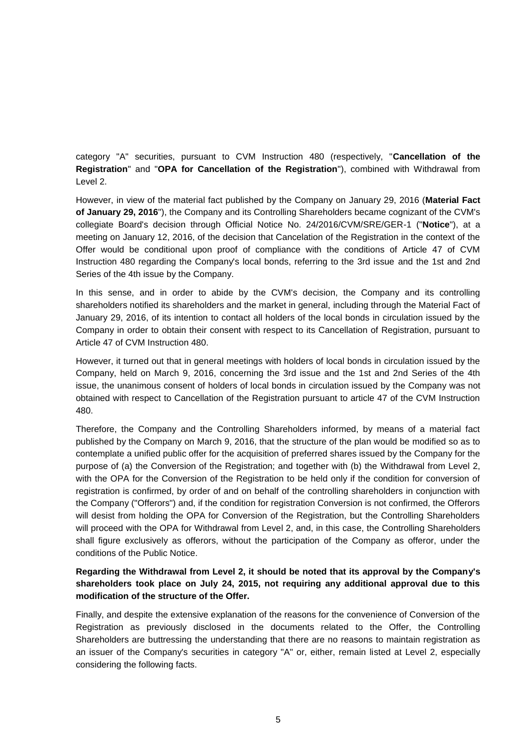category "A" securities, pursuant to CVM Instruction 480 (respectively, "**Cancellation of the Registration**" and "**OPA for Cancellation of the Registration**"), combined with Withdrawal from Level 2.

However, in view of the material fact published by the Company on January 29, 2016 (**Material Fact of January 29, 2016**"), the Company and its Controlling Shareholders became cognizant of the CVM's collegiate Board's decision through Official Notice No. 24/2016/CVM/SRE/GER-1 ("**Notice**"), at a meeting on January 12, 2016, of the decision that Cancelation of the Registration in the context of the Offer would be conditional upon proof of compliance with the conditions of Article 47 of CVM Instruction 480 regarding the Company's local bonds, referring to the 3rd issue and the 1st and 2nd Series of the 4th issue by the Company.

In this sense, and in order to abide by the CVM's decision, the Company and its controlling shareholders notified its shareholders and the market in general, including through the Material Fact of January 29, 2016, of its intention to contact all holders of the local bonds in circulation issued by the Company in order to obtain their consent with respect to its Cancellation of Registration, pursuant to Article 47 of CVM Instruction 480.

However, it turned out that in general meetings with holders of local bonds in circulation issued by the Company, held on March 9, 2016, concerning the 3rd issue and the 1st and 2nd Series of the 4th issue, the unanimous consent of holders of local bonds in circulation issued by the Company was not obtained with respect to Cancellation of the Registration pursuant to article 47 of the CVM Instruction 480.

Therefore, the Company and the Controlling Shareholders informed, by means of a material fact published by the Company on March 9, 2016, that the structure of the plan would be modified so as to contemplate a unified public offer for the acquisition of preferred shares issued by the Company for the purpose of (a) the Conversion of the Registration; and together with (b) the Withdrawal from Level 2, with the OPA for the Conversion of the Registration to be held only if the condition for conversion of registration is confirmed, by order of and on behalf of the controlling shareholders in conjunction with the Company ("Offerors") and, if the condition for registration Conversion is not confirmed, the Offerors will desist from holding the OPA for Conversion of the Registration, but the Controlling Shareholders will proceed with the OPA for Withdrawal from Level 2, and, in this case, the Controlling Shareholders shall figure exclusively as offerors, without the participation of the Company as offeror, under the conditions of the Public Notice.

## **Regarding the Withdrawal from Level 2, it should be noted that its approval by the Company's shareholders took place on July 24, 2015, not requiring any additional approval due to this modification of the structure of the Offer.**

Finally, and despite the extensive explanation of the reasons for the convenience of Conversion of the Registration as previously disclosed in the documents related to the Offer, the Controlling Shareholders are buttressing the understanding that there are no reasons to maintain registration as an issuer of the Company's securities in category "A" or, either, remain listed at Level 2, especially considering the following facts.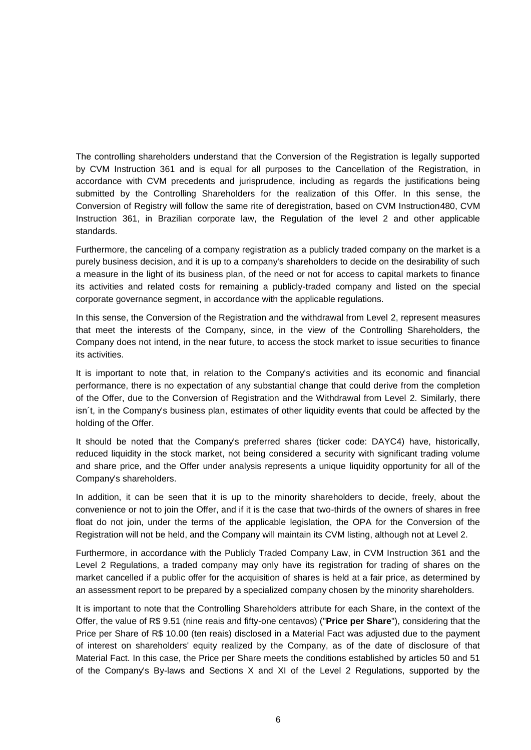The controlling shareholders understand that the Conversion of the Registration is legally supported by CVM Instruction 361 and is equal for all purposes to the Cancellation of the Registration, in accordance with CVM precedents and jurisprudence, including as regards the justifications being submitted by the Controlling Shareholders for the realization of this Offer. In this sense, the Conversion of Registry will follow the same rite of deregistration, based on CVM Instruction480, CVM Instruction 361, in Brazilian corporate law, the Regulation of the level 2 and other applicable standards.

Furthermore, the canceling of a company registration as a publicly traded company on the market is a purely business decision, and it is up to a company's shareholders to decide on the desirability of such a measure in the light of its business plan, of the need or not for access to capital markets to finance its activities and related costs for remaining a publicly-traded company and listed on the special corporate governance segment, in accordance with the applicable regulations.

In this sense, the Conversion of the Registration and the withdrawal from Level 2, represent measures that meet the interests of the Company, since, in the view of the Controlling Shareholders, the Company does not intend, in the near future, to access the stock market to issue securities to finance its activities.

It is important to note that, in relation to the Company's activities and its economic and financial performance, there is no expectation of any substantial change that could derive from the completion of the Offer, due to the Conversion of Registration and the Withdrawal from Level 2. Similarly, there isn´t, in the Company's business plan, estimates of other liquidity events that could be affected by the holding of the Offer.

It should be noted that the Company's preferred shares (ticker code: DAYC4) have, historically, reduced liquidity in the stock market, not being considered a security with significant trading volume and share price, and the Offer under analysis represents a unique liquidity opportunity for all of the Company's shareholders.

In addition, it can be seen that it is up to the minority shareholders to decide, freely, about the convenience or not to join the Offer, and if it is the case that two-thirds of the owners of shares in free float do not join, under the terms of the applicable legislation, the OPA for the Conversion of the Registration will not be held, and the Company will maintain its CVM listing, although not at Level 2.

Furthermore, in accordance with the Publicly Traded Company Law, in CVM Instruction 361 and the Level 2 Regulations, a traded company may only have its registration for trading of shares on the market cancelled if a public offer for the acquisition of shares is held at a fair price, as determined by an assessment report to be prepared by a specialized company chosen by the minority shareholders.

It is important to note that the Controlling Shareholders attribute for each Share, in the context of the Offer, the value of R\$ 9.51 (nine reais and fifty-one centavos) ("**Price per Share**"), considering that the Price per Share of R\$ 10.00 (ten reais) disclosed in a Material Fact was adjusted due to the payment of interest on shareholders' equity realized by the Company, as of the date of disclosure of that Material Fact. In this case, the Price per Share meets the conditions established by articles 50 and 51 of the Company's By-laws and Sections X and XI of the Level 2 Regulations, supported by the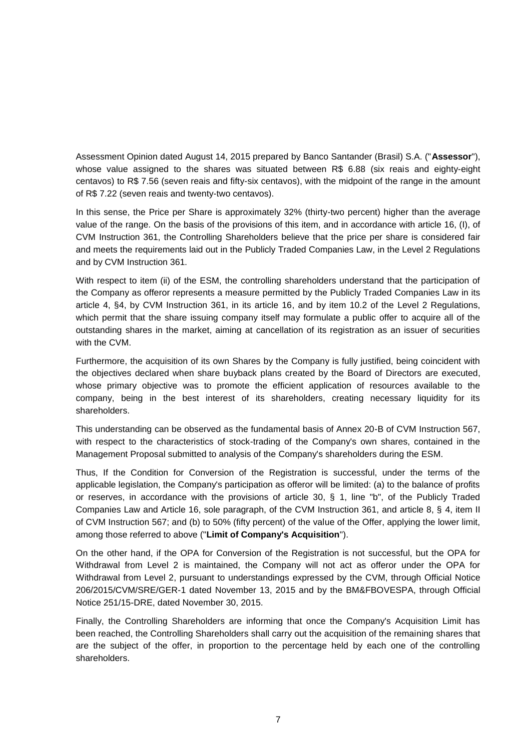Assessment Opinion dated August 14, 2015 prepared by Banco Santander (Brasil) S.A. ("**Assessor**"), whose value assigned to the shares was situated between R\$ 6.88 (six reais and eighty-eight centavos) to R\$ 7.56 (seven reais and fifty-six centavos), with the midpoint of the range in the amount of R\$ 7.22 (seven reais and twenty-two centavos).

In this sense, the Price per Share is approximately 32% (thirty-two percent) higher than the average value of the range. On the basis of the provisions of this item, and in accordance with article 16, (I), of CVM Instruction 361, the Controlling Shareholders believe that the price per share is considered fair and meets the requirements laid out in the Publicly Traded Companies Law, in the Level 2 Regulations and by CVM Instruction 361.

With respect to item (ii) of the ESM, the controlling shareholders understand that the participation of the Company as offeror represents a measure permitted by the Publicly Traded Companies Law in its article 4, §4, by CVM Instruction 361, in its article 16, and by item 10.2 of the Level 2 Regulations, which permit that the share issuing company itself may formulate a public offer to acquire all of the outstanding shares in the market, aiming at cancellation of its registration as an issuer of securities with the CVM.

Furthermore, the acquisition of its own Shares by the Company is fully justified, being coincident with the objectives declared when share buyback plans created by the Board of Directors are executed, whose primary objective was to promote the efficient application of resources available to the company, being in the best interest of its shareholders, creating necessary liquidity for its shareholders.

This understanding can be observed as the fundamental basis of Annex 20-B of CVM Instruction 567, with respect to the characteristics of stock-trading of the Company's own shares, contained in the Management Proposal submitted to analysis of the Company's shareholders during the ESM.

Thus, If the Condition for Conversion of the Registration is successful, under the terms of the applicable legislation, the Company's participation as offeror will be limited: (a) to the balance of profits or reserves, in accordance with the provisions of article 30, § 1, line "b", of the Publicly Traded Companies Law and Article 16, sole paragraph, of the CVM Instruction 361, and article 8, § 4, item II of CVM Instruction 567; and (b) to 50% (fifty percent) of the value of the Offer, applying the lower limit, among those referred to above ("**Limit of Company's Acquisition**").

On the other hand, if the OPA for Conversion of the Registration is not successful, but the OPA for Withdrawal from Level 2 is maintained, the Company will not act as offeror under the OPA for Withdrawal from Level 2, pursuant to understandings expressed by the CVM, through Official Notice 206/2015/CVM/SRE/GER-1 dated November 13, 2015 and by the BM&FBOVESPA, through Official Notice 251/15-DRE, dated November 30, 2015.

Finally, the Controlling Shareholders are informing that once the Company's Acquisition Limit has been reached, the Controlling Shareholders shall carry out the acquisition of the remaining shares that are the subject of the offer, in proportion to the percentage held by each one of the controlling shareholders.